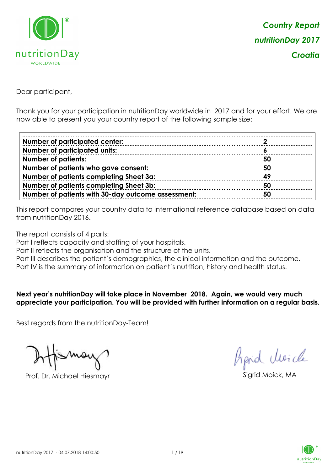

Dear participant,

Thank you for your participation in nutritionDay worldwide in 2017 and for your effort. We are now able to present you your country report of the following sample size:

| <b>Number of participated center:</b>              |     |
|----------------------------------------------------|-----|
| <b>Number of participated units:</b>               |     |
| <b>Number of patients:</b>                         | -50 |
| Number of patients who gave consent:               | 50  |
| Number of patients completing Sheet 3a:            | 49  |
| <b>Number of patients completing Sheet 3b:</b>     | 50  |
| Number of patients with 30-day outcome assessment: | 50  |

This report compares your country data to international reference database based on data from nutritionDay 2016.

The report consists of 4 parts:

Part I reflects capacity and staffing of your hospitals.

Part II reflects the organisation and the structure of the units.

Part III describes the patient's demographics, the clinical information and the outcome.

Part IV is the summary of information on patient´s nutrition, history and health status.

#### **Next year's nutritionDay will take place in November 2018. Again, we would very much appreciate your participation. You will be provided with further information on a regular basis.**

Best regards from the nutritionDay-Team!

Prof. Dr. Michael Hiesmayr Sigrid Moick, MA

Aprid Unicle

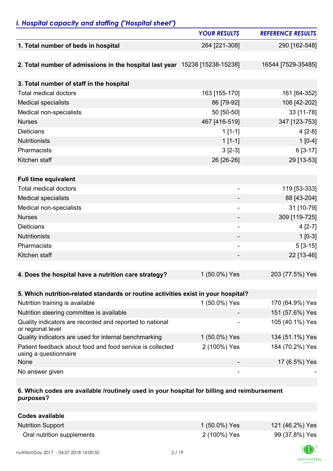## *I. Hospital capacity and staffing ("Hospital sheet")*

|                                                                                    | <b>YOUR RESULTS</b>      | <b>REFERENCE RESULTS</b> |
|------------------------------------------------------------------------------------|--------------------------|--------------------------|
| 1. Total number of beds in hospital                                                | 264 [221-308]            | 290 [162-548]            |
|                                                                                    |                          |                          |
| 2. Total number of admissions in the hospital last year 15238 [15238-15238]        |                          | 16544 [7529-35485]       |
|                                                                                    |                          |                          |
| 3. Total number of staff in the hospital                                           |                          |                          |
| <b>Total medical doctors</b>                                                       | 163 [155-170]            | 161 [64-352]             |
| <b>Medical specialists</b>                                                         | 86 [79-92]               | 108 [42-202]             |
| Medical non-specialists                                                            | 50 [50-50]               | 33 [11-78]               |
| <b>Nurses</b>                                                                      | 467 [416-519]            | 347 [123-753]            |
| <b>Dieticians</b>                                                                  | $1[1-1]$                 | $4[2-8]$                 |
| <b>Nutritionists</b>                                                               | $1[1-1]$                 | $1[0-4]$                 |
| Pharmacists                                                                        | $3[2-3]$                 | $6[3-17]$                |
| Kitchen staff                                                                      | 26 [26-26]               | 29 [13-53]               |
|                                                                                    |                          |                          |
| <b>Full time equivalent</b>                                                        |                          |                          |
| <b>Total medical doctors</b>                                                       | $\overline{\phantom{0}}$ | 119 [53-333]             |
| <b>Medical specialists</b>                                                         |                          | 88 [43-204]              |
| Medical non-specialists                                                            | $\overline{\phantom{a}}$ | 31 [10-79]               |
| <b>Nurses</b>                                                                      |                          | 309 [119-725]            |
| <b>Dieticians</b>                                                                  | $\overline{\phantom{a}}$ | $4[2-7]$                 |
| <b>Nutritionists</b>                                                               | ۰                        | $1[0-3]$                 |
| Pharmacists                                                                        | $\overline{a}$           | $5[3-15]$                |
| Kitchen staff                                                                      |                          | 22 [13-46]               |
|                                                                                    |                          |                          |
| 4. Does the hospital have a nutrition care strategy?                               | 1 (50.0%) Yes            | 203 (77.5%) Yes          |
|                                                                                    |                          |                          |
| 5. Which nutrition-related standards or routine activities exist in your hospital? |                          |                          |
| Nutrition training is available                                                    | 1 (50.0%) Yes            | 170 (64.9%) Yes          |
| Nutrition steering committee is available                                          |                          | 151 (57.6%) Yes          |
| Quality indicators are recorded and reported to national<br>or regional level      |                          | 105 (40.1%) Yes          |
| Quality indicators are used for internal benchmarking                              | 1 (50.0%) Yes            | 134 (51.1%) Yes          |
| Patient feedback about food and food service is collected<br>using a questionnaire | 2 (100%) Yes             | 184 (70.2%) Yes          |
| None                                                                               |                          | 17 (6.5%) Yes            |
| No answer given                                                                    |                          |                          |

#### **6. Which codes are available /routinely used in your hospital for billing and reimbursement purposes?**

| <b>Codes available</b>     |               |                 |
|----------------------------|---------------|-----------------|
| <b>Nutrition Support</b>   | 1 (50.0%) Yes | 121 (46.2%) Yes |
| Oral nutrition supplements | 2 (100%) Yes  | 99 (37.8%) Yes  |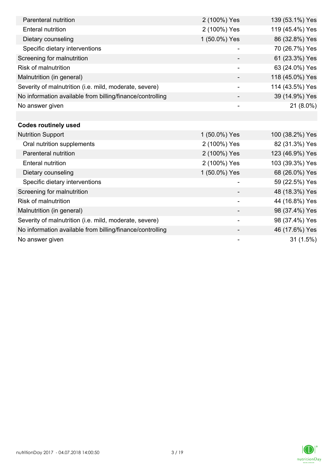| Parenteral nutrition                                      | 2 (100%) Yes             | 139 (53.1%) Yes |
|-----------------------------------------------------------|--------------------------|-----------------|
| <b>Enteral nutrition</b>                                  | 2 (100%) Yes             | 119 (45.4%) Yes |
| Dietary counseling                                        | 1 (50.0%) Yes            | 86 (32.8%) Yes  |
| Specific dietary interventions                            |                          | 70 (26.7%) Yes  |
| Screening for malnutrition                                |                          | 61 (23.3%) Yes  |
| <b>Risk of malnutrition</b>                               |                          | 63 (24.0%) Yes  |
| Malnutrition (in general)                                 |                          | 118 (45.0%) Yes |
| Severity of malnutrition (i.e. mild, moderate, severe)    | $\overline{\phantom{a}}$ | 114 (43.5%) Yes |
| No information available from billing/finance/controlling |                          | 39 (14.9%) Yes  |
| No answer given                                           |                          | $21(8.0\%)$     |
|                                                           |                          |                 |
| <b>Codes routinely used</b>                               |                          |                 |
| <b>Nutrition Support</b>                                  | 1 (50.0%) Yes            | 100 (38.2%) Yes |
| Oral nutrition supplements                                | 2 (100%) Yes             | 82 (31.3%) Yes  |
| Parenteral nutrition                                      | 2 (100%) Yes             | 123 (46.9%) Yes |
| <b>Enteral nutrition</b>                                  | 2 (100%) Yes             | 103 (39.3%) Yes |
| Dietary counseling                                        | 1 (50.0%) Yes            | 68 (26.0%) Yes  |
| Specific dietary interventions                            |                          | 59 (22.5%) Yes  |
| Screening for malnutrition                                |                          | 48 (18.3%) Yes  |
| <b>Risk of malnutrition</b>                               |                          | 44 (16.8%) Yes  |
| Malnutrition (in general)                                 |                          | 98 (37.4%) Yes  |
| Severity of malnutrition (i.e. mild, moderate, severe)    | $\overline{\phantom{a}}$ | 98 (37.4%) Yes  |
| No information available from billing/finance/controlling |                          | 46 (17.6%) Yes  |
| No answer given                                           |                          | 31(1.5%)        |

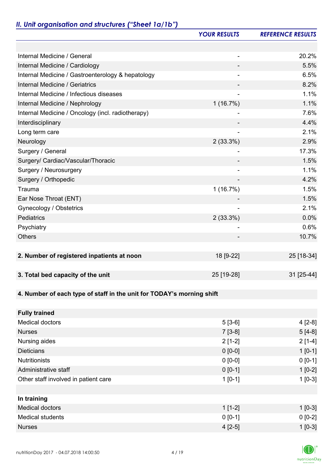# *II. Unit organisation and structures ("Sheet 1a/1b")*

|                                                                       | <b>YOUR RESULTS</b> | <b>REFERENCE RESULTS</b> |
|-----------------------------------------------------------------------|---------------------|--------------------------|
|                                                                       |                     |                          |
| Internal Medicine / General                                           |                     | 20.2%                    |
| Internal Medicine / Cardiology                                        |                     | 5.5%                     |
| Internal Medicine / Gastroenterology & hepatology                     |                     | 6.5%                     |
| Internal Medicine / Geriatrics                                        |                     | 8.2%                     |
| Internal Medicine / Infectious diseases                               |                     | 1.1%                     |
| Internal Medicine / Nephrology                                        | 1(16.7%)            | 1.1%                     |
| Internal Medicine / Oncology (incl. radiotherapy)                     |                     | 7.6%                     |
| Interdisciplinary                                                     |                     | 4.4%                     |
| Long term care                                                        | ÷                   | 2.1%                     |
| Neurology                                                             | 2(33.3%)            | 2.9%                     |
| Surgery / General                                                     |                     | 17.3%                    |
| Surgery/ Cardiac/Vascular/Thoracic                                    |                     | 1.5%                     |
| Surgery / Neurosurgery                                                |                     | 1.1%                     |
| Surgery / Orthopedic                                                  |                     | 4.2%                     |
| Trauma                                                                | 1(16.7%)            | 1.5%                     |
| Ear Nose Throat (ENT)                                                 |                     | 1.5%                     |
| Gynecology / Obstetrics                                               |                     | 2.1%                     |
| Pediatrics                                                            | $2(33.3\%)$         | 0.0%                     |
| Psychiatry                                                            |                     | 0.6%                     |
| <b>Others</b>                                                         |                     | 10.7%                    |
|                                                                       |                     |                          |
| 2. Number of registered inpatients at noon                            | 18 [9-22]           | 25 [18-34]               |
|                                                                       |                     |                          |
| 3. Total bed capacity of the unit                                     | 25 [19-28]          | 31 [25-44]               |
|                                                                       |                     |                          |
| 4. Number of each type of staff in the unit for TODAY's morning shift |                     |                          |
|                                                                       |                     |                          |
| <b>Fully trained</b>                                                  |                     |                          |
| <b>Medical doctors</b>                                                | $5[3-6]$            | $4[2-8]$                 |
| <b>Nurses</b>                                                         | $7[3-8]$            | $5[4-8]$                 |
| Nursing aides                                                         | $2[1-2]$            | $2[1-4]$                 |
| <b>Dieticians</b>                                                     | $0 [0-0]$           | $1[0-1]$                 |
| <b>Nutritionists</b>                                                  | $0[0-0]$            | $0 [0-1]$                |
| Administrative staff                                                  | $0 [0-1]$           | $1[0-2]$                 |
| Other staff involved in patient care                                  | $1[0-1]$            | $1[0-3]$                 |
|                                                                       |                     |                          |
| In training                                                           |                     |                          |
| <b>Medical doctors</b>                                                | $1[1-2]$            | $1 [0-3]$                |
| <b>Medical students</b>                                               | $0 [0-1]$           | $0 [0-2]$                |
| <b>Nurses</b>                                                         | $4[2-5]$            | $1[0-3]$                 |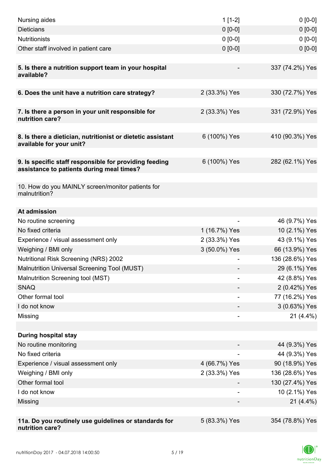| Nursing aides                                                                                       | $1[1-2]$                     | $0 [0-0]$       |
|-----------------------------------------------------------------------------------------------------|------------------------------|-----------------|
| <b>Dieticians</b>                                                                                   | $0 [0-0]$                    | $0 [0-0]$       |
| <b>Nutritionists</b>                                                                                | $0 [0-0]$                    | $0 [0-0]$       |
| Other staff involved in patient care                                                                | $0 [0-0]$                    | $0 [0-0]$       |
|                                                                                                     |                              |                 |
| 5. Is there a nutrition support team in your hospital<br>available?                                 |                              | 337 (74.2%) Yes |
| 6. Does the unit have a nutrition care strategy?                                                    | 2 (33.3%) Yes                | 330 (72.7%) Yes |
|                                                                                                     |                              |                 |
| 7. Is there a person in your unit responsible for<br>nutrition care?                                | 2 (33.3%) Yes                | 331 (72.9%) Yes |
| 8. Is there a dietician, nutritionist or dietetic assistant                                         | 6 (100%) Yes                 | 410 (90.3%) Yes |
| available for your unit?                                                                            |                              |                 |
|                                                                                                     |                              |                 |
| 9. Is specific staff responsible for providing feeding<br>assistance to patients during meal times? | 6 (100%) Yes                 | 282 (62.1%) Yes |
| 10. How do you MAINLY screen/monitor patients for                                                   |                              |                 |
| malnutrition?                                                                                       |                              |                 |
| At admission                                                                                        |                              |                 |
| No routine screening                                                                                |                              | 46 (9.7%) Yes   |
| No fixed criteria                                                                                   | 1 (16.7%) Yes                | 10 (2.1%) Yes   |
| Experience / visual assessment only                                                                 | 2 (33.3%) Yes                | 43 (9.1%) Yes   |
| Weighing / BMI only                                                                                 | 3 (50.0%) Yes                | 66 (13.9%) Yes  |
| <b>Nutritional Risk Screening (NRS) 2002</b>                                                        |                              | 136 (28.6%) Yes |
| Malnutrition Universal Screening Tool (MUST)                                                        |                              | 29 (6.1%) Yes   |
| Malnutrition Screening tool (MST)                                                                   |                              | 42 (8.8%) Yes   |
| <b>SNAQ</b>                                                                                         |                              | 2 (0.42%) Yes   |
| Other formal tool                                                                                   |                              | 77 (16.2%) Yes  |
| I do not know                                                                                       |                              | 3 (0.63%) Yes   |
| Missing                                                                                             | $\qquad \qquad \blacksquare$ | $21(4.4\%)$     |
|                                                                                                     |                              |                 |
| <b>During hospital stay</b>                                                                         |                              |                 |
| No routine monitoring                                                                               |                              | 44 (9.3%) Yes   |
| No fixed criteria                                                                                   |                              | 44 (9.3%) Yes   |
| Experience / visual assessment only                                                                 | 4 (66.7%) Yes                | 90 (18.9%) Yes  |
| Weighing / BMI only                                                                                 | 2 (33.3%) Yes                | 136 (28.6%) Yes |
| Other formal tool                                                                                   |                              | 130 (27.4%) Yes |
| I do not know                                                                                       |                              | 10 (2.1%) Yes   |
| Missing                                                                                             |                              | $21(4.4\%)$     |
|                                                                                                     |                              |                 |
| 11a. Do you routinely use guidelines or standards for<br>nutrition care?                            | 5 (83.3%) Yes                | 354 (78.8%) Yes |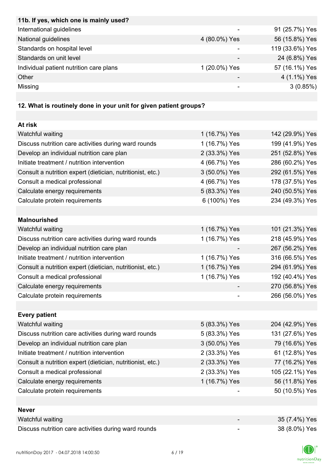| 11b. If yes, which one is mainly used?  |               |                 |
|-----------------------------------------|---------------|-----------------|
| International guidelines                | -             | 91 (25.7%) Yes  |
| National guidelines                     | 4 (80.0%) Yes | 56 (15.8%) Yes  |
| Standards on hospital level             |               | 119 (33.6%) Yes |
| Standards on unit level                 |               | 24 (6.8%) Yes   |
| Individual patient nutrition care plans | 1 (20.0%) Yes | 57 (16.1%) Yes  |
| Other                                   |               | 4 (1.1%) Yes    |
| Missing                                 |               | 3(0.85%)        |

# **12. What is routinely done in your unit for given patient groups?**

| At risk                                                    |               |                 |
|------------------------------------------------------------|---------------|-----------------|
| Watchful waiting                                           | 1 (16.7%) Yes | 142 (29.9%) Yes |
| Discuss nutrition care activities during ward rounds       | 1 (16.7%) Yes | 199 (41.9%) Yes |
| Develop an individual nutrition care plan                  | 2 (33.3%) Yes | 251 (52.8%) Yes |
| Initiate treatment / nutrition intervention                | 4 (66.7%) Yes | 286 (60.2%) Yes |
| Consult a nutrition expert (dietician, nutritionist, etc.) | 3 (50.0%) Yes | 292 (61.5%) Yes |
| Consult a medical professional                             | 4 (66.7%) Yes | 178 (37.5%) Yes |
| Calculate energy requirements                              | 5 (83.3%) Yes | 240 (50.5%) Yes |
| Calculate protein requirements                             | 6 (100%) Yes  | 234 (49.3%) Yes |
|                                                            |               |                 |
| <b>Malnourished</b>                                        |               |                 |
| Watchful waiting                                           | 1 (16.7%) Yes | 101 (21.3%) Yes |
| Discuss nutrition care activities during ward rounds       | 1 (16.7%) Yes | 218 (45.9%) Yes |
| Develop an individual nutrition care plan                  |               | 267 (56.2%) Yes |
| Initiate treatment / nutrition intervention                | 1 (16.7%) Yes | 316 (66.5%) Yes |
| Consult a nutrition expert (dietician, nutritionist, etc.) | 1 (16.7%) Yes | 294 (61.9%) Yes |
| Consult a medical professional                             | 1 (16.7%) Yes | 192 (40.4%) Yes |
| Calculate energy requirements                              |               | 270 (56.8%) Yes |
| Calculate protein requirements                             |               | 266 (56.0%) Yes |
|                                                            |               |                 |
| <b>Every patient</b>                                       |               |                 |
| Watchful waiting                                           | 5 (83.3%) Yes | 204 (42.9%) Yes |
| Discuss nutrition care activities during ward rounds       | 5 (83.3%) Yes | 131 (27.6%) Yes |
| Develop an individual nutrition care plan                  | 3 (50.0%) Yes | 79 (16.6%) Yes  |
| Initiate treatment / nutrition intervention                | 2 (33.3%) Yes | 61 (12.8%) Yes  |
| Consult a nutrition expert (dietician, nutritionist, etc.) | 2 (33.3%) Yes | 77 (16.2%) Yes  |
| Consult a medical professional                             | 2 (33.3%) Yes | 105 (22.1%) Yes |
| Calculate energy requirements                              | 1 (16.7%) Yes | 56 (11.8%) Yes  |
| Calculate protein requirements                             |               | 50 (10.5%) Yes  |
|                                                            |               |                 |
| <b>Never</b>                                               |               |                 |
| Watchful waiting                                           |               | 35 (7.4%) Yes   |
| Discuss nutrition care activities during ward rounds       |               | 38 (8.0%) Yes   |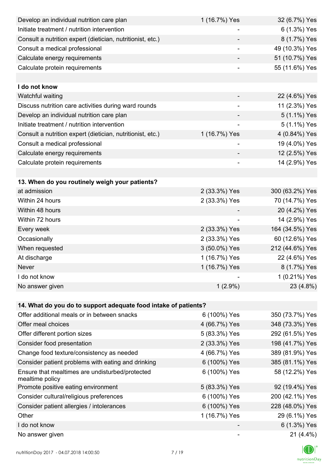| Develop an individual nutrition care plan                          | 1 (16.7%) Yes            | 32 (6.7%) Yes   |
|--------------------------------------------------------------------|--------------------------|-----------------|
| Initiate treatment / nutrition intervention                        |                          | 6 (1.3%) Yes    |
| Consult a nutrition expert (dietician, nutritionist, etc.)         |                          | 8 (1.7%) Yes    |
| Consult a medical professional                                     |                          | 49 (10.3%) Yes  |
| Calculate energy requirements                                      |                          | 51 (10.7%) Yes  |
| Calculate protein requirements                                     |                          | 55 (11.6%) Yes  |
|                                                                    |                          |                 |
| I do not know                                                      |                          |                 |
| Watchful waiting                                                   |                          | 22 (4.6%) Yes   |
| Discuss nutrition care activities during ward rounds               |                          | 11 (2.3%) Yes   |
| Develop an individual nutrition care plan                          |                          | 5 (1.1%) Yes    |
| Initiate treatment / nutrition intervention                        | $\overline{\phantom{0}}$ | 5 (1.1%) Yes    |
| Consult a nutrition expert (dietician, nutritionist, etc.)         | 1 (16.7%) Yes            | 4 (0.84%) Yes   |
| Consult a medical professional                                     |                          | 19 (4.0%) Yes   |
| Calculate energy requirements                                      |                          | 12 (2.5%) Yes   |
| Calculate protein requirements                                     |                          | 14 (2.9%) Yes   |
|                                                                    |                          |                 |
| 13. When do you routinely weigh your patients?                     |                          |                 |
| at admission                                                       | 2 (33.3%) Yes            | 300 (63.2%) Yes |
| Within 24 hours                                                    | 2 (33.3%) Yes            | 70 (14.7%) Yes  |
| Within 48 hours                                                    |                          | 20 (4.2%) Yes   |
| Within 72 hours                                                    |                          | 14 (2.9%) Yes   |
| Every week                                                         | 2 (33.3%) Yes            | 164 (34.5%) Yes |
| Occasionally                                                       | 2 (33.3%) Yes            | 60 (12.6%) Yes  |
| When requested                                                     | 3 (50.0%) Yes            | 212 (44.6%) Yes |
| At discharge                                                       | 1 (16.7%) Yes            | 22 (4.6%) Yes   |
| Never                                                              | 1 (16.7%) Yes            | 8 (1.7%) Yes    |
| I do not know                                                      |                          | 1 (0.21%) Yes   |
| No answer given                                                    | $1(2.9\%)$               | 23 (4.8%)       |
|                                                                    |                          |                 |
| 14. What do you do to support adequate food intake of patients?    |                          |                 |
| Offer additional meals or in between snacks                        | 6 (100%) Yes             | 350 (73.7%) Yes |
| Offer meal choices                                                 | 4 (66.7%) Yes            | 348 (73.3%) Yes |
| Offer different portion sizes                                      | 5 (83.3%) Yes            | 292 (61.5%) Yes |
| Consider food presentation                                         | 2 (33.3%) Yes            | 198 (41.7%) Yes |
| Change food texture/consistency as needed                          | 4 (66.7%) Yes            | 389 (81.9%) Yes |
| Consider patient problems with eating and drinking                 | 6 (100%) Yes             | 385 (81.1%) Yes |
| Ensure that mealtimes are undisturbed/protected<br>mealtime policy | 6 (100%) Yes             | 58 (12.2%) Yes  |
| Promote positive eating environment                                | 5 (83.3%) Yes            | 92 (19.4%) Yes  |
| Consider cultural/religious preferences                            | 6 (100%) Yes             | 200 (42.1%) Yes |
| Consider patient allergies / intolerances                          | 6 (100%) Yes             | 228 (48.0%) Yes |
| Other                                                              | 1 (16.7%) Yes            | 29 (6.1%) Yes   |
| I do not know                                                      |                          | 6 (1.3%) Yes    |
| No answer given                                                    |                          | $21(4.4\%)$     |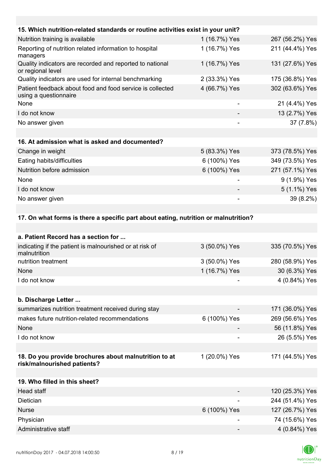| 15. Which nutrition-related standards or routine activities exist in your unit?      |                          |                  |
|--------------------------------------------------------------------------------------|--------------------------|------------------|
| Nutrition training is available                                                      | 1 (16.7%) Yes            | 267 (56.2%) Yes  |
| Reporting of nutrition related information to hospital<br>managers                   | 1 (16.7%) Yes            | 211 (44.4%) Yes  |
| Quality indicators are recorded and reported to national<br>or regional level        | 1 (16.7%) Yes            | 131 (27.6%) Yes  |
| Quality indicators are used for internal benchmarking                                | 2 (33.3%) Yes            | 175 (36.8%) Yes  |
| Patient feedback about food and food service is collected<br>using a questionnaire   | 4 (66.7%) Yes            | 302 (63.6%) Yes  |
| None                                                                                 | $\overline{\phantom{a}}$ | 21 (4.4%) Yes    |
| I do not know                                                                        |                          | 13 (2.7%) Yes    |
| No answer given                                                                      |                          | 37 (7.8%)        |
|                                                                                      |                          |                  |
| 16. At admission what is asked and documented?                                       |                          |                  |
| Change in weight                                                                     | 5 (83.3%) Yes            | 373 (78.5%) Yes  |
| Eating habits/difficulties                                                           | 6 (100%) Yes             | 349 (73.5%) Yes  |
| Nutrition before admission                                                           | 6 (100%) Yes             | 271 (57.1%) Yes  |
| None                                                                                 |                          | 9 (1.9%) Yes     |
| I do not know                                                                        |                          | 5 (1.1%) Yes     |
| No answer given                                                                      |                          | 39 (8.2%)        |
|                                                                                      |                          |                  |
| 17. On what forms is there a specific part about eating, nutrition or malnutrition?  |                          |                  |
|                                                                                      |                          |                  |
| a. Patient Record has a section for                                                  |                          |                  |
| indicating if the patient is malnourished or at risk of<br>malnutrition              | 3 (50.0%) Yes            | 335 (70.5%) Yes  |
| nutrition treatment                                                                  | 3 (50.0%) Yes            | 280 (58.9%) Yes  |
| None                                                                                 | 1 (16.7%) Yes            | 30 (6.3%) Yes    |
| I do not know                                                                        |                          | 4 (0.84%) Yes    |
|                                                                                      |                          |                  |
| b. Discharge Letter                                                                  |                          |                  |
| summarizes nutrition treatment received during stay                                  |                          | 171 (36.0%) Yes  |
| makes future nutrition-related recommendations                                       | 6 (100%) Yes             | 269 (56.6%) Yes  |
| None                                                                                 |                          | 56 (11.8%) Yes   |
| I do not know                                                                        |                          | 26 (5.5%) Yes    |
|                                                                                      |                          |                  |
| 18. Do you provide brochures about malnutrition to at<br>risk/malnourished patients? | 1 (20.0%) Yes            | 171 (44.5%) Yes  |
|                                                                                      |                          |                  |
| 19. Who filled in this sheet?                                                        |                          |                  |
| Head staff                                                                           |                          | $120(253\%)$ Yes |

| Head staff           | $\overline{\phantom{0}}$ | 120 (25.3%) Yes |
|----------------------|--------------------------|-----------------|
| <b>Dietician</b>     | ۰                        | 244 (51.4%) Yes |
| <b>Nurse</b>         | 6 (100%) Yes             | 127 (26.7%) Yes |
| Physician            | -                        | 74 (15.6%) Yes  |
| Administrative staff | -                        | 4 (0.84%) Yes   |

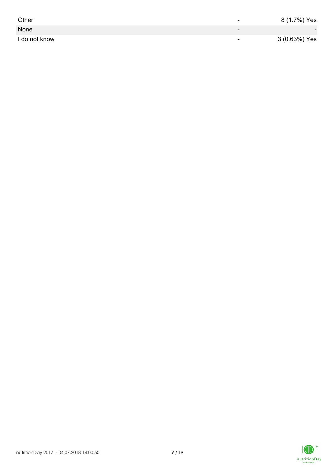| Other         | -                        | 8 (1.7%) Yes             |
|---------------|--------------------------|--------------------------|
| None          | $\overline{\phantom{0}}$ | $\overline{\phantom{0}}$ |
| I do not know | $\overline{\phantom{0}}$ | 3 (0.63%) Yes            |

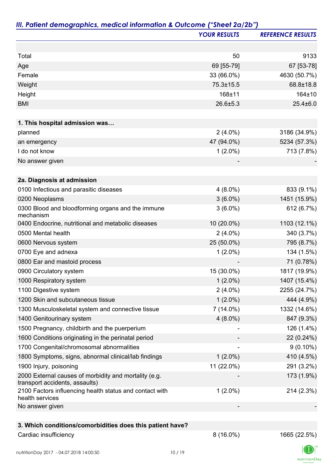|                                                                                         | <b>YOUR RESULTS</b> | <b>REFERENCE RESULTS</b> |
|-----------------------------------------------------------------------------------------|---------------------|--------------------------|
|                                                                                         |                     |                          |
| Total                                                                                   | 50                  | 9133                     |
| Age                                                                                     | 69 [55-79]          | 67 [53-78]               |
| Female                                                                                  | 33 (66.0%)          | 4630 (50.7%)             |
| Weight                                                                                  | 75.3±15.5           | 68.8±18.8                |
| Height                                                                                  | 168±11              | 164±10                   |
| <b>BMI</b>                                                                              | 26.6±5.3            | $25.4 \pm 6.0$           |
| 1. This hospital admission was                                                          |                     |                          |
| planned                                                                                 | $2(4.0\%)$          | 3186 (34.9%)             |
| an emergency                                                                            | 47 (94.0%)          | 5234 (57.3%)             |
| I do not know                                                                           | $1(2.0\%)$          | 713 (7.8%)               |
| No answer given                                                                         |                     |                          |
| 2a. Diagnosis at admission                                                              |                     |                          |
| 0100 Infectious and parasitic diseases                                                  | $4(8.0\%)$          | 833 (9.1%)               |
| 0200 Neoplasms                                                                          | $3(6.0\%)$          | 1451 (15.9%)             |
| 0300 Blood and bloodforming organs and the immune<br>mechanism                          | $3(6.0\%)$          | 612 (6.7%)               |
| 0400 Endocrine, nutritional and metabolic diseases                                      | 10 (20.0%)          | 1103 (12.1%)             |
| 0500 Mental health                                                                      | $2(4.0\%)$          | 340 (3.7%)               |
| 0600 Nervous system                                                                     | 25 (50.0%)          | 795 (8.7%)               |
| 0700 Eye and adnexa                                                                     | $1(2.0\%)$          | 134 (1.5%)               |
| 0800 Ear and mastoid process                                                            |                     | 71 (0.78%)               |
| 0900 Circulatory system                                                                 | 15 (30.0%)          | 1817 (19.9%)             |
| 1000 Respiratory system                                                                 | $1(2.0\%)$          | 1407 (15.4%)             |
| 1100 Digestive system                                                                   | $2(4.0\%)$          | 2255 (24.7%)             |
| 1200 Skin and subcutaneous tissue                                                       | $1(2.0\%)$          | 444 (4.9%)               |
| 1300 Musculoskeletal system and connective tissue                                       | $7(14.0\%)$         | 1332 (14.6%)             |
| 1400 Genitourinary system                                                               | $4(8.0\%)$          | 847 (9.3%)               |
| 1500 Pregnancy, childbirth and the puerperium                                           |                     | 126 (1.4%)               |
| 1600 Conditions originating in the perinatal period                                     |                     | 22 (0.24%)               |
| 1700 Congenital/chromosomal abnormalities                                               |                     | $9(0.10\%)$              |
| 1800 Symptoms, signs, abnormal clinical/lab findings                                    | $1(2.0\%)$          | 410 (4.5%)               |
| 1900 Injury, poisoning                                                                  | 11 (22.0%)          | 291 (3.2%)               |
| 2000 External causes of morbidity and mortality (e.g.<br>transport accidents, assaults) |                     | 173 (1.9%)               |
| 2100 Factors influencing health status and contact with<br>health services              | $1(2.0\%)$          | 214 (2.3%)               |
| No answer given                                                                         |                     |                          |
|                                                                                         |                     |                          |
| 3. Which conditions/comorbidities does this patient have?                               |                     |                          |
| Cardiac insufficiency                                                                   | $8(16.0\%)$         | 1665 (22.5%)             |

 $|D|$  $nutri   
tion Day$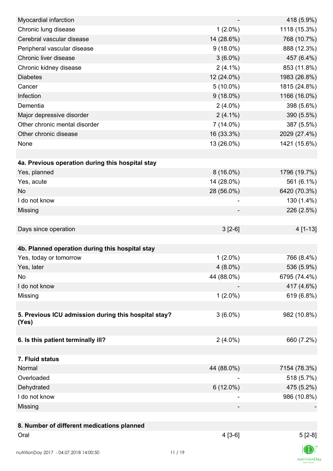| Myocardial infarction                                |             | 418 (5.9%)   |
|------------------------------------------------------|-------------|--------------|
| Chronic lung disease                                 | $1(2.0\%)$  | 1118 (15.3%) |
| Cerebral vascular disease                            | 14 (28.6%)  | 768 (10.7%)  |
| Peripheral vascular disease                          | $9(18.0\%)$ | 888 (12.3%)  |
| Chronic liver disease                                | $3(6.0\%)$  | 457 (6.4%)   |
| Chronic kidney disease                               | $2(4.1\%)$  | 853 (11.8%)  |
| <b>Diabetes</b>                                      | 12 (24.0%)  | 1983 (26.8%) |
| Cancer                                               | $5(10.0\%)$ | 1815 (24.8%) |
| Infection                                            | $9(18.0\%)$ | 1166 (16.0%) |
| Dementia                                             | $2(4.0\%)$  | 398 (5.6%)   |
| Major depressive disorder                            | $2(4.1\%)$  | 390 (5.5%)   |
| Other chronic mental disorder                        | $7(14.0\%)$ | 387 (5.5%)   |
| Other chronic disease                                | 16 (33.3%)  | 2029 (27.4%) |
| None                                                 | 13 (26.0%)  | 1421 (15.6%) |
|                                                      |             |              |
| 4a. Previous operation during this hospital stay     |             |              |
| Yes, planned                                         | $8(16.0\%)$ | 1796 (19.7%) |
| Yes, acute                                           | 14 (28.0%)  | 561 (6.1%)   |
| <b>No</b>                                            | 28 (56.0%)  | 6420 (70.3%) |
| I do not know                                        |             | 130 (1.4%)   |
| Missing                                              |             | 226 (2.5%)   |
|                                                      |             |              |
| Days since operation                                 | $3[2-6]$    | 4 [1-13]     |
|                                                      |             |              |
| 4b. Planned operation during this hospital stay      |             |              |
| Yes, today or tomorrow                               | $1(2.0\%)$  | 766 (8.4%)   |
| Yes, later                                           | $4(8.0\%)$  | 536 (5.9%)   |
| No                                                   | 44 (88.0%)  | 6795 (74.4%) |
| I do not know                                        |             | 417 (4.6%)   |
| Missing                                              | $1(2.0\%)$  | 619 (6.8%)   |
|                                                      |             |              |
| 5. Previous ICU admission during this hospital stay? | $3(6.0\%)$  | 982 (10.8%)  |
| (Yes)                                                |             |              |
|                                                      |             |              |
| 6. Is this patient terminally ill?                   | $2(4.0\%)$  | 660 (7.2%)   |
|                                                      |             |              |
| 7. Fluid status                                      |             |              |
| Normal                                               | 44 (88.0%)  | 7154 (78.3%) |
| Overloaded                                           |             | 518 (5.7%)   |
| Dehydrated                                           | $6(12.0\%)$ | 475 (5.2%)   |
| I do not know                                        |             | 986 (10.8%)  |
| Missing                                              |             |              |
|                                                      |             |              |
| 8. Number of different medications planned           |             |              |
| Oral                                                 | $4[3-6]$    | $5[2-8]$     |
|                                                      |             |              |
| nutritionDay 2017 - 04.07.2018 14:00:50              | 11/19       |              |

 $\textsf{nutritionDay}$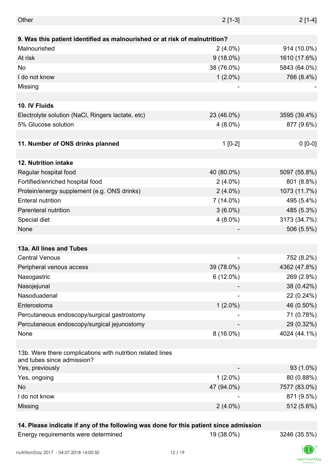| Other                                                                                    | $2[1-3]$       | $2[1-4]$     |
|------------------------------------------------------------------------------------------|----------------|--------------|
|                                                                                          |                |              |
| 9. Was this patient identified as malnourished or at risk of malnutrition?               |                |              |
| Malnourished                                                                             | $2(4.0\%)$     | 914 (10.0%)  |
| At risk                                                                                  | $9(18.0\%)$    | 1610 (17.6%) |
| No                                                                                       | 38 (76.0%)     | 5843 (64.0%) |
| I do not know                                                                            | $1(2.0\%)$     | 766 (8.4%)   |
| Missing                                                                                  | ٠              |              |
|                                                                                          |                |              |
| 10. IV Fluids                                                                            |                |              |
| Electrolyte solution (NaCl, Ringers lactate, etc)                                        | 23 (46.0%)     | 3595 (39.4%) |
| 5% Glucose solution                                                                      | $4(8.0\%)$     | 877 (9.6%)   |
|                                                                                          |                |              |
| 11. Number of ONS drinks planned                                                         | $1[0-2]$       | $0 [0-0]$    |
|                                                                                          |                |              |
| <b>12. Nutrition intake</b>                                                              |                |              |
| Regular hospital food                                                                    | 40 (80.0%)     | 5097 (55.8%) |
| Fortified/enriched hospital food                                                         | $2(4.0\%)$     | 801 (8.8%)   |
| Protein/energy supplement (e.g. ONS drinks)                                              | $2(4.0\%)$     | 1073 (11.7%) |
| <b>Enteral nutrition</b>                                                                 | $7(14.0\%)$    | 495 (5.4%)   |
| Parenteral nutrition                                                                     | $3(6.0\%)$     | 485 (5.3%)   |
| Special diet                                                                             | $4(8.0\%)$     | 3173 (34.7%) |
| None                                                                                     |                | 506 (5.5%)   |
|                                                                                          |                |              |
| 13a. All lines and Tubes                                                                 |                |              |
| <b>Central Venous</b>                                                                    | $\overline{a}$ | 752 (8.2%)   |
| Peripheral venous access                                                                 | 39 (78.0%)     | 4362 (47.8%) |
| Nasogastric                                                                              | $6(12.0\%)$    | 269 (2.9%)   |
| Nasojejunal                                                                              |                | 38 (0.42%)   |
| Nasoduadenal                                                                             |                | 22 (0.24%)   |
| Enterostoma                                                                              | $1(2.0\%)$     | 46 (0.50%)   |
| Percutaneous endoscopy/surgical gastrostomy                                              |                | 71 (0.78%)   |
| Percutaneous endoscopy/surgical jejunostomy                                              |                | 29 (0.32%)   |
| None                                                                                     | $8(16.0\%)$    | 4024 (44.1%) |
|                                                                                          |                |              |
| 13b. Were there complications with nutrition related lines<br>and tubes since admission? |                |              |
| Yes, previously                                                                          |                | 93 (1.0%)    |
| Yes, ongoing                                                                             | $1(2.0\%)$     | 80 (0.88%)   |
| <b>No</b>                                                                                | 47 (94.0%)     | 7577 (83.0%) |
| I do not know                                                                            |                | 871 (9.5%)   |
| Missing                                                                                  | $2(4.0\%)$     | 512 (5.6%)   |
|                                                                                          |                |              |

### **14. Please indicate if any of the following was done for this patient since admission**

| Energy requirements were determined |
|-------------------------------------|
|-------------------------------------|

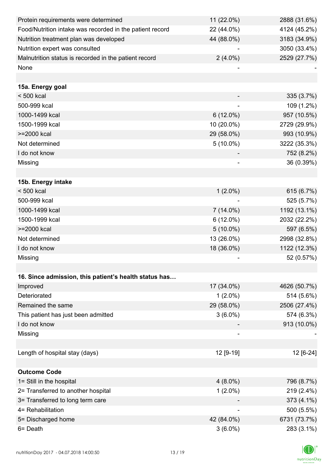| Protein requirements were determined                     | 11 (22.0%)               | 2888 (31.6%) |
|----------------------------------------------------------|--------------------------|--------------|
| Food/Nutrition intake was recorded in the patient record | 22 (44.0%)               | 4124 (45.2%) |
| Nutrition treatment plan was developed                   | 44 (88.0%)               | 3183 (34.9%) |
| Nutrition expert was consulted                           |                          | 3050 (33.4%) |
| Malnutrition status is recorded in the patient record    | $2(4.0\%)$               | 2529 (27.7%) |
| None                                                     |                          |              |
|                                                          |                          |              |
| 15a. Energy goal                                         |                          |              |
| < 500 kcal                                               |                          | 335 (3.7%)   |
| 500-999 kcal                                             |                          | 109 (1.2%)   |
| 1000-1499 kcal                                           | $6(12.0\%)$              | 957 (10.5%)  |
| 1500-1999 kcal                                           | 10 (20.0%)               | 2729 (29.9%) |
| >=2000 kcal                                              | 29 (58.0%)               | 993 (10.9%)  |
| Not determined                                           | $5(10.0\%)$              | 3222 (35.3%) |
| I do not know                                            |                          | 752 (8.2%)   |
| Missing                                                  |                          | 36 (0.39%)   |
|                                                          |                          |              |
| 15b. Energy intake                                       |                          |              |
| $< 500$ kcal                                             | $1(2.0\%)$               | 615 (6.7%)   |
| 500-999 kcal                                             |                          | 525 (5.7%)   |
| 1000-1499 kcal                                           | $7(14.0\%)$              | 1192 (13.1%) |
| 1500-1999 kcal                                           | $6(12.0\%)$              | 2032 (22.2%) |
| >=2000 kcal                                              | $5(10.0\%)$              | 597 (6.5%)   |
| Not determined                                           | 13 (26.0%)               | 2998 (32.8%) |
| I do not know                                            | 18 (36.0%)               | 1122 (12.3%) |
| Missing                                                  |                          | 52 (0.57%)   |
|                                                          |                          |              |
| 16. Since admission, this patient's health status has    |                          |              |
| Improved                                                 | 17 (34.0%)               | 4626 (50.7%) |
| Deteriorated                                             | $1(2.0\%)$               | 514 (5.6%)   |
| Remained the same                                        | 29 (58.0%)               | 2506 (27.4%) |
| This patient has just been admitted                      | $3(6.0\%)$               | 574 (6.3%)   |
| I do not know                                            |                          | 913 (10.0%)  |
| Missing                                                  |                          |              |
|                                                          |                          |              |
| Length of hospital stay (days)                           | 12 [9-19]                | 12 [6-24]    |
|                                                          |                          |              |
| <b>Outcome Code</b>                                      |                          |              |
| 1= Still in the hospital                                 | $4(8.0\%)$               | 796 (8.7%)   |
| 2= Transferred to another hospital                       | $1(2.0\%)$               | 219 (2.4%)   |
| 3= Transferred to long term care                         |                          | 373 (4.1%)   |
| 4= Rehabilitation                                        | $\overline{\phantom{a}}$ | 500 (5.5%)   |
| 5= Discharged home                                       | 42 (84.0%)               | 6731 (73.7%) |
| 6= Death                                                 | $3(6.0\%)$               | 283 (3.1%)   |

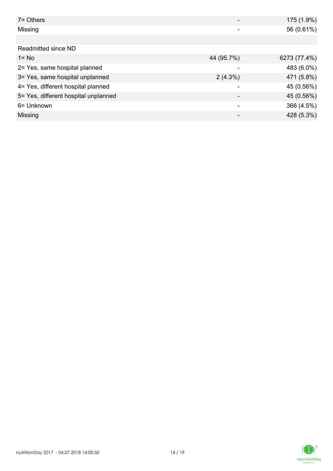| $7 =$ Others                         |            | 175 (1.9%)   |
|--------------------------------------|------------|--------------|
| Missing                              |            | 56 (0.61%)   |
|                                      |            |              |
| Readmitted since ND                  |            |              |
| $1 = No$                             | 44 (95.7%) | 6273 (77.4%) |
| 2= Yes, same hospital planned        |            | 483 (6.0%)   |
| 3= Yes, same hospital unplanned      | $2(4.3\%)$ | 471 (5.8%)   |
| 4= Yes, different hospital planned   |            | 45 (0.56%)   |
| 5= Yes, different hospital unplanned |            | 45 (0.56%)   |
| 6= Unknown                           |            | 366 (4.5%)   |
| Missing                              |            | 428 (5.3%)   |

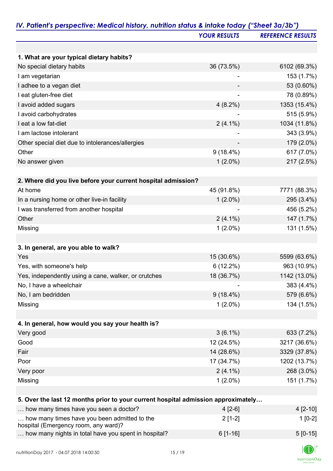|                                                                                      | <b>YOUR RESULTS</b> | <b>REFERENCE RESULTS</b> |
|--------------------------------------------------------------------------------------|---------------------|--------------------------|
|                                                                                      |                     |                          |
| 1. What are your typical dietary habits?                                             |                     |                          |
| No special dietary habits                                                            | 36 (73.5%)          | 6102 (69.3%)             |
| I am vegetarian                                                                      |                     | 153 (1.7%)               |
| I adhee to a vegan diet                                                              |                     | 53 (0.60%)               |
| I eat gluten-free diet                                                               |                     | 78 (0.89%)               |
| I avoid added sugars                                                                 | $4(8.2\%)$          | 1353 (15.4%)             |
| I avoid carbohydrates                                                                |                     | 515 (5.9%)               |
| I eat a low fat-diet                                                                 | $2(4.1\%)$          | 1034 (11.8%)             |
| I am lactose intolerant                                                              |                     | 343 (3.9%)               |
| Other special diet due to intolerances/allergies                                     |                     | 179 (2.0%)               |
| Other                                                                                | $9(18.4\%)$         | 617 (7.0%)               |
| No answer given                                                                      | $1(2.0\%)$          | 217 (2.5%)               |
|                                                                                      |                     |                          |
| 2. Where did you live before your current hospital admission?                        |                     |                          |
| At home                                                                              | 45 (91.8%)          | 7771 (88.3%)             |
| In a nursing home or other live-in facility                                          | $1(2.0\%)$          | 295 (3.4%)               |
| I was transferred from another hospital                                              |                     | 456 (5.2%)               |
| Other                                                                                | $2(4.1\%)$          | 147 (1.7%)               |
| Missing                                                                              | $1(2.0\%)$          | 131 (1.5%)               |
|                                                                                      |                     |                          |
| 3. In general, are you able to walk?                                                 |                     |                          |
| Yes                                                                                  | 15 (30.6%)          | 5599 (63.6%)             |
| Yes, with someone's help                                                             | 6(12.2%)            | 963 (10.9%)              |
| Yes, independently using a cane, walker, or crutches                                 | 18 (36.7%)          | 1142 (13.0%)             |
| No, I have a wheelchair                                                              |                     | 383 (4.4%)               |
| No, I am bedridden                                                                   | $9(18.4\%)$         | 579 (6.6%)               |
| Missing                                                                              | $1(2.0\%)$          | 134 (1.5%)               |
|                                                                                      |                     |                          |
| 4. In general, how would you say your health is?                                     |                     |                          |
| Very good                                                                            | $3(6.1\%)$          | 633 (7.2%)               |
| Good                                                                                 | 12 (24.5%)          | 3217 (36.6%)             |
| Fair                                                                                 | 14 (28.6%)          | 3329 (37.8%)             |
| Poor                                                                                 | 17 (34.7%)          | 1202 (13.7%)             |
| Very poor                                                                            | $2(4.1\%)$          | 268 (3.0%)               |
| Missing                                                                              | $1(2.0\%)$          | 151 (1.7%)               |
|                                                                                      |                     |                          |
| 5. Over the last 12 months prior to your current hospital admission approximately    |                     |                          |
| how many times have you seen a doctor?                                               | $4[2-6]$            | 4 [2-10]                 |
| how many times have you been admitted to the<br>hospital (Emergency room, any ward)? | $2[1-2]$            | $1[0-2]$                 |
| how many nights in total have you spent in hospital?                                 | $6[1-16]$           | $5[0-15]$                |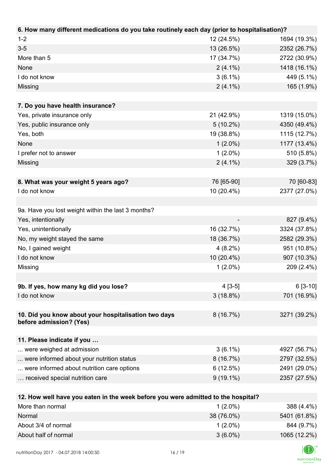| 6. How many different medications do you take routinely each day (prior to hospitalisation)? |             |              |
|----------------------------------------------------------------------------------------------|-------------|--------------|
| $1 - 2$                                                                                      | 12 (24.5%)  | 1694 (19.3%) |
| $3 - 5$                                                                                      | 13 (26.5%)  | 2352 (26.7%) |
| More than 5                                                                                  | 17 (34.7%)  | 2722 (30.9%) |
| None                                                                                         | $2(4.1\%)$  | 1418 (16.1%) |
| I do not know                                                                                | $3(6.1\%)$  | 449 (5.1%)   |
| Missing                                                                                      | $2(4.1\%)$  | 165 (1.9%)   |
|                                                                                              |             |              |
| 7. Do you have health insurance?                                                             |             |              |
| Yes, private insurance only                                                                  | 21 (42.9%)  | 1319 (15.0%) |
| Yes, public insurance only                                                                   | $5(10.2\%)$ | 4350 (49.4%) |
| Yes, both                                                                                    | 19 (38.8%)  | 1115 (12.7%) |
| None                                                                                         | $1(2.0\%)$  | 1177 (13.4%) |
| I prefer not to answer                                                                       | $1(2.0\%)$  | 510 (5.8%)   |
| Missing                                                                                      | $2(4.1\%)$  | 329 (3.7%)   |
|                                                                                              |             |              |
| 8. What was your weight 5 years ago?                                                         | 76 [65-90]  | 70 [60-83]   |
| I do not know                                                                                | 10 (20.4%)  | 2377 (27.0%) |
|                                                                                              |             |              |
| 9a. Have you lost weight within the last 3 months?                                           |             |              |
| Yes, intentionally                                                                           |             | 827 (9.4%)   |
| Yes, unintentionally                                                                         | 16 (32.7%)  | 3324 (37.8%) |
| No, my weight stayed the same                                                                | 18 (36.7%)  | 2582 (29.3%) |
| No, I gained weight                                                                          | $4(8.2\%)$  | 951 (10.8%)  |
| I do not know                                                                                | 10 (20.4%)  | 907 (10.3%)  |
| Missing                                                                                      | $1(2.0\%)$  | 209 (2.4%)   |
|                                                                                              |             |              |
| 9b. If yes, how many kg did you lose?                                                        | $4[3-5]$    | $6[3-10]$    |
| I do not know                                                                                | $3(18.8\%)$ | 701 (16.9%)  |
|                                                                                              |             |              |
| 10. Did you know about your hospitalisation two days                                         | 8(16.7%)    | 3271 (39.2%) |
| before admission? (Yes)                                                                      |             |              |
|                                                                                              |             |              |
| 11. Please indicate if you<br>were weighed at admission                                      | $3(6.1\%)$  | 4927 (56.7%) |
| were informed about your nutrition status                                                    | $8(16.7\%)$ | 2797 (32.5%) |
| were informed about nutrition care options                                                   | 6(12.5%)    | 2491 (29.0%) |
| received special nutrition care                                                              | $9(19.1\%)$ | 2357 (27.5%) |
|                                                                                              |             |              |
| 12. How well have you eaten in the week before you were admitted to the hospital?            |             |              |
| More than normal                                                                             | $1(2.0\%)$  | 388 (4.4%)   |
| Normal                                                                                       | 38 (76.0%)  | 5401 (61.8%) |
| About 3/4 of normal                                                                          | $1(2.0\%)$  | 844 (9.7%)   |

About half of normal 3 (6.0%) 1065 (12.2%)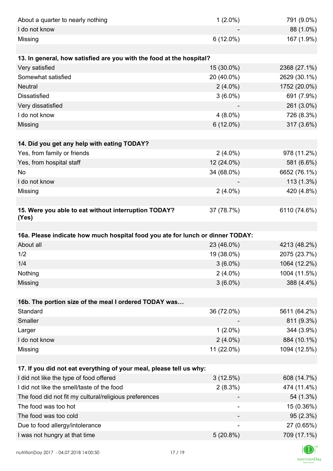| About a quarter to nearly nothing                                              | $1(2.0\%)$  | 791 (9.0%)   |
|--------------------------------------------------------------------------------|-------------|--------------|
| I do not know                                                                  |             | 88 (1.0%)    |
| Missing                                                                        | $6(12.0\%)$ | 167 (1.9%)   |
|                                                                                |             |              |
| 13. In general, how satisfied are you with the food at the hospital?           |             |              |
| Very satisfied                                                                 | 15 (30.0%)  | 2368 (27.1%) |
| Somewhat satisfied                                                             | 20 (40.0%)  | 2629 (30.1%) |
| <b>Neutral</b>                                                                 | $2(4.0\%)$  | 1752 (20.0%) |
| <b>Dissatisfied</b>                                                            | $3(6.0\%)$  | 691 (7.9%)   |
| Very dissatisfied                                                              |             | 261 (3.0%)   |
| I do not know                                                                  | $4(8.0\%)$  | 726 (8.3%)   |
| Missing                                                                        | $6(12.0\%)$ | 317 (3.6%)   |
|                                                                                |             |              |
| 14. Did you get any help with eating TODAY?                                    |             |              |
| Yes, from family or friends                                                    | $2(4.0\%)$  | 978 (11.2%)  |
| Yes, from hospital staff                                                       | 12 (24.0%)  | 581 (6.6%)   |
| No                                                                             | 34 (68.0%)  | 6652 (76.1%) |
| I do not know                                                                  |             | $113(1.3\%)$ |
| Missing                                                                        | $2(4.0\%)$  | 420 (4.8%)   |
|                                                                                |             |              |
| 15. Were you able to eat without interruption TODAY?<br>(Yes)                  | 37 (78.7%)  | 6110 (74.6%) |
|                                                                                |             |              |
| 16a. Please indicate how much hospital food you ate for lunch or dinner TODAY: |             |              |
| About all                                                                      | 23 (46.0%)  | 4213 (48.2%) |
| 1/2                                                                            | 19 (38.0%)  | 2075 (23.7%) |
| 1/4                                                                            | $3(6.0\%)$  | 1064 (12.2%) |
| Nothing                                                                        | $2(4.0\%)$  | 1004 (11.5%) |
| Missing                                                                        | $3(6.0\%)$  | 388 (4.4%)   |
|                                                                                |             |              |
| 16b. The portion size of the meal I ordered TODAY was                          |             |              |
| Standard                                                                       | 36 (72.0%)  | 5611 (64.2%) |
| Smaller                                                                        |             | 811 (9.3%)   |
| Larger                                                                         | $1(2.0\%)$  | 344 (3.9%)   |
| I do not know                                                                  | $2(4.0\%)$  | 884 (10.1%)  |
| Missing                                                                        | 11 (22.0%)  | 1094 (12.5%) |
|                                                                                |             |              |
| 17. If you did not eat everything of your meal, please tell us why:            |             |              |
| I did not like the type of food offered                                        | 3(12.5%)    | 608 (14.7%)  |
| I did not like the smell/taste of the food                                     | $2(8.3\%)$  | 474 (11.4%)  |
| The food did not fit my cultural/religious preferences                         |             | 54 (1.3%)    |
| The food was too hot                                                           |             | 15 (0.36%)   |
| The food was too cold                                                          |             | 95(2.3%)     |
| Due to food allergy/intolerance                                                |             | 27 (0.65%)   |
| I was not hungry at that time                                                  | $5(20.8\%)$ | 709 (17.1%)  |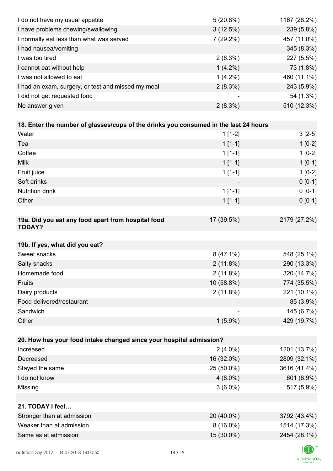| I do not have my usual appetite                                                      | 5(20.8%)    | 1167 (28.2%) |
|--------------------------------------------------------------------------------------|-------------|--------------|
| I have problems chewing/swallowing                                                   | 3(12.5%)    | 239 (5.8%)   |
| I normally eat less than what was served                                             | 7 (29.2%)   | 457 (11.0%)  |
| I had nausea/vomiting                                                                |             | 345 (8.3%)   |
| I was too tired                                                                      | $2(8.3\%)$  | 227 (5.5%)   |
| I cannot eat without help                                                            | $1(4.2\%)$  | 73 (1.8%)    |
| I was not allowed to eat                                                             | $1(4.2\%)$  | 460 (11.1%)  |
| I had an exam, surgery, or test and missed my meal                                   | $2(8.3\%)$  | 243 (5.9%)   |
| I did not get requested food                                                         |             | 54 (1.3%)    |
| No answer given                                                                      | $2(8.3\%)$  | 510 (12.3%)  |
|                                                                                      |             |              |
| 18. Enter the number of glasses/cups of the drinks you consumed in the last 24 hours |             |              |
| Water                                                                                | $1[1-2]$    | $3[2-5]$     |
| Tea                                                                                  | $1[1-1]$    | $1[0-2]$     |
| Coffee                                                                               | $1[1-1]$    | $1[0-2]$     |
| <b>Milk</b>                                                                          | $1[1-1]$    | $1[0-1]$     |
| Fruit juice                                                                          | $1[1-1]$    | $1[0-2]$     |
| Soft drinks                                                                          |             | $0 [0-1]$    |
| Nutrition drink                                                                      | $1[1-1]$    | $0 [0-1]$    |
| Other                                                                                | $1[1-1]$    | $0 [0-1]$    |
|                                                                                      |             |              |
| 19a. Did you eat any food apart from hospital food<br><b>TODAY?</b>                  | 17 (39.5%)  | 2179 (27.2%) |
| 19b. If yes, what did you eat?                                                       |             |              |
| Sweet snacks                                                                         | $8(47.1\%)$ | 548 (25.1%)  |
| Salty snacks                                                                         | 2(11.8%)    | 290 (13.3%)  |
| Homemade food                                                                        | 2(11.8%)    | 320 (14.7%)  |
| Fruits                                                                               | 10 (58.8%)  | 774 (35.5%)  |
| Dairy products                                                                       | 2(11.8%)    | 221 (10.1%)  |
| Food delivered/restaurant                                                            |             | 85 (3.9%)    |
| Sandwich                                                                             |             | 145 (6.7%)   |
| Other                                                                                | $1(5.9\%)$  | 429 (19.7%)  |
|                                                                                      |             |              |
| 20. How has your food intake changed since your hospital admission?                  |             |              |
| Increased                                                                            | $2(4.0\%)$  | 1201 (13.7%) |
| Decreased                                                                            | 16 (32.0%)  | 2809 (32.1%) |
| Stayed the same                                                                      | 25 (50.0%)  | 3616 (41.4%) |
| I do not know                                                                        | $4(8.0\%)$  | 601 (6.9%)   |
| Missing                                                                              | $3(6.0\%)$  | 517 (5.9%)   |
|                                                                                      |             |              |
| 21. TODAY I feel                                                                     |             |              |
| Stronger than at admission                                                           | 20 (40.0%)  | 3792 (43.4%) |
| Weaker than at admission                                                             | $8(16.0\%)$ | 1514 (17.3%) |
| Same as at admission                                                                 | 15 (30.0%)  | 2454 (28.1%) |
|                                                                                      |             |              |